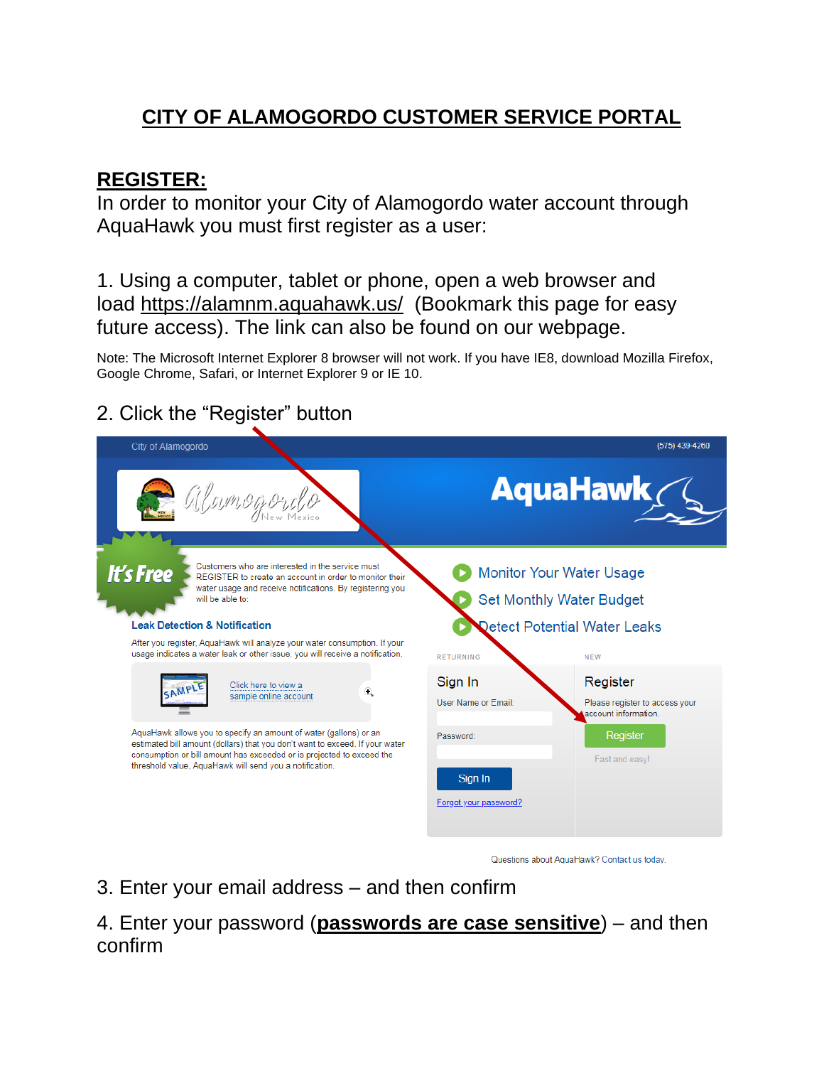# **CITY OF ALAMOGORDO CUSTOMER SERVICE PORTAL**

### **REGISTER:**

In order to monitor your City of Alamogordo water account through AquaHawk you must first register as a user:

1. Using a computer, tablet or phone, open a web browser and load <https://alamnm.aquahawk.us/>(Bookmark this page for easy future access). The link can also be found on our webpage.

Note: The Microsoft Internet Explorer 8 browser will not work. If you have IE8, download Mozilla Firefox, Google Chrome, Safari, or Internet Explorer 9 or IE 10.

#### 2. Click the "Register" button



Questions about AquaHawk? Contact us today

3. Enter your email address – and then confirm

#### 4. Enter your password (**passwords are case sensitive**) – and then confirm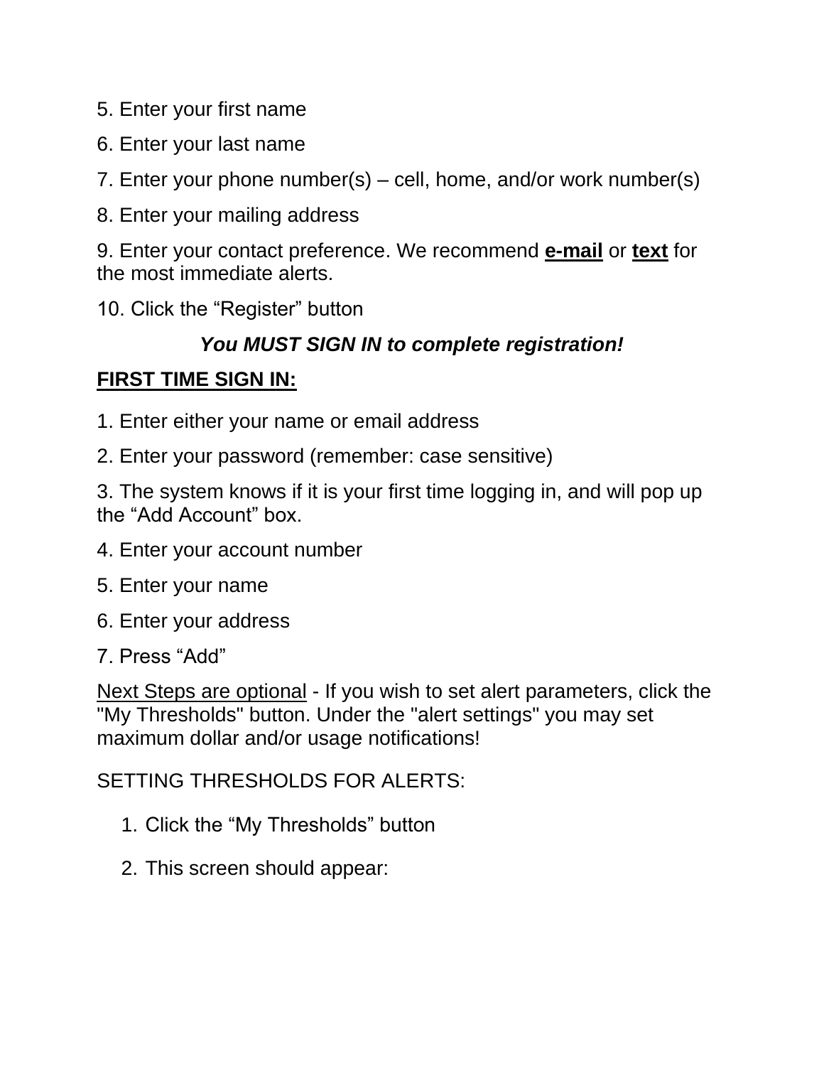- 5. Enter your first name
- 6. Enter your last name

7. Enter your phone number(s) – cell, home, and/or work number(s)

8. Enter your mailing address

9. Enter your contact preference. We recommend **e-mail** or **text** for the most immediate alerts.

10. Click the "Register" button

## *You MUST SIGN IN to complete registration!*

## **FIRST TIME SIGN IN:**

- 1. Enter either your name or email address
- 2. Enter your password (remember: case sensitive)

3. The system knows if it is your first time logging in, and will pop up the "Add Account" box.

- 4. Enter your account number
- 5. Enter your name
- 6. Enter your address
- 7. Press "Add"

Next Steps are optional - If you wish to set alert parameters, click the "My Thresholds" button. Under the "alert settings" you may set maximum dollar and/or usage notifications!

SETTING THRESHOLDS FOR ALERTS:

- 1. Click the "My Thresholds" button
- 2. This screen should appear: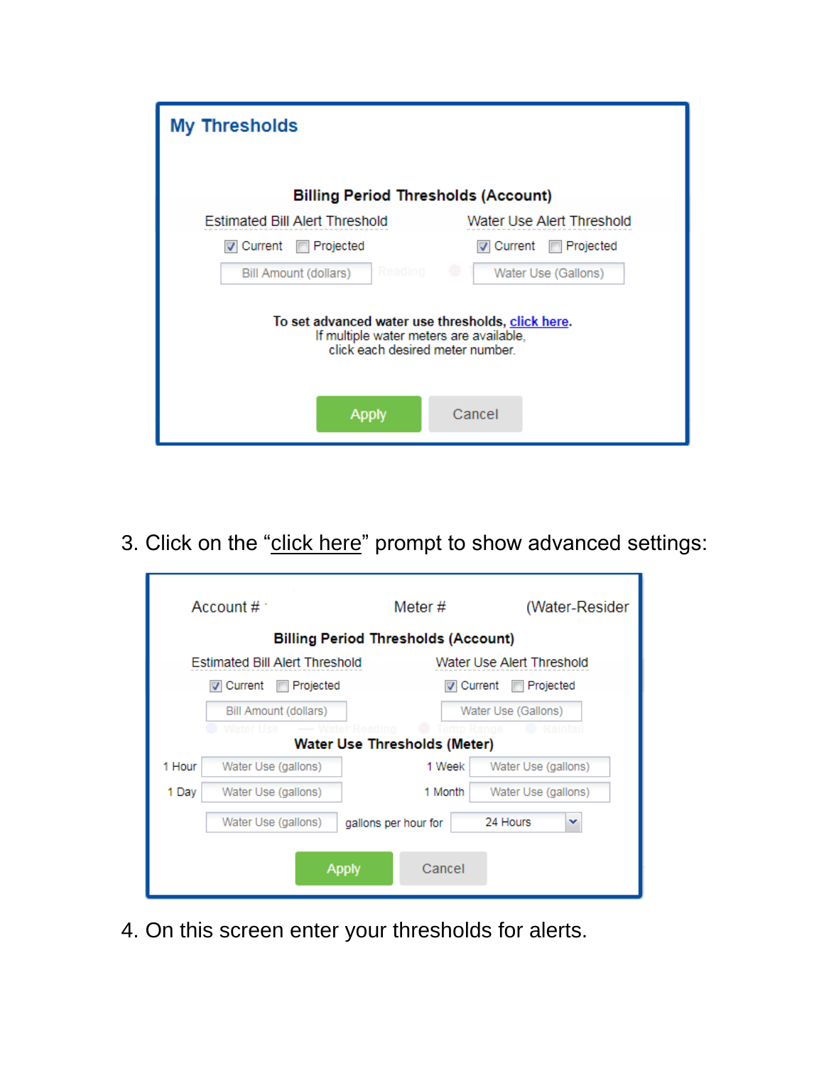| <b>My Thresholds</b>                                                                                                             |                                  |  |  |  |  |  |  |  |
|----------------------------------------------------------------------------------------------------------------------------------|----------------------------------|--|--|--|--|--|--|--|
| <b>Billing Period Thresholds (Account)</b>                                                                                       |                                  |  |  |  |  |  |  |  |
| <b>Estimated Bill Alert Threshold</b>                                                                                            | Water Use Alert Threshold        |  |  |  |  |  |  |  |
| Current<br><b>□ Projected</b>                                                                                                    | l⊽ Current<br><b>□ Projected</b> |  |  |  |  |  |  |  |
| Reading<br>Bill Amount (dollars)                                                                                                 | Water Use (Gallons)              |  |  |  |  |  |  |  |
| To set advanced water use thresholds, click here.<br>If multiple water meters are available,<br>click each desired meter number. |                                  |  |  |  |  |  |  |  |
| <b>Apply</b>                                                                                                                     | Cancel                           |  |  |  |  |  |  |  |

3. Click on the "click here" prompt to show advanced settings:

| Account $\#$ :                                   |                                       | Meter #              | (Water-Resider                |  |  |  |  |  |  |
|--------------------------------------------------|---------------------------------------|----------------------|-------------------------------|--|--|--|--|--|--|
| <b>Billing Period Thresholds (Account)</b>       |                                       |                      |                               |  |  |  |  |  |  |
|                                                  | <b>Estimated Bill Alert Threshold</b> |                      | Water Use Alert Threshold     |  |  |  |  |  |  |
|                                                  | l⊽l Current<br>Projected              |                      | <b>V</b> Current<br>Projected |  |  |  |  |  |  |
|                                                  | Bill Amount (dollars)                 |                      | Water Use (Gallons)           |  |  |  |  |  |  |
| ater Lise<br><b>Water Use Thresholds (Meter)</b> |                                       |                      |                               |  |  |  |  |  |  |
| 1 Hour                                           | Water Use (gallons)                   | 1 Week               | Water Use (gallons)           |  |  |  |  |  |  |
| 1 Day                                            | Water Use (gallons)                   | 1 Month              | Water Use (gallons)           |  |  |  |  |  |  |
|                                                  | Water Use (gallons)                   | gallons per hour for | 24 Hours<br>v                 |  |  |  |  |  |  |
| Cancel<br><b>Apply</b>                           |                                       |                      |                               |  |  |  |  |  |  |

4. On this screen enter your thresholds for alerts.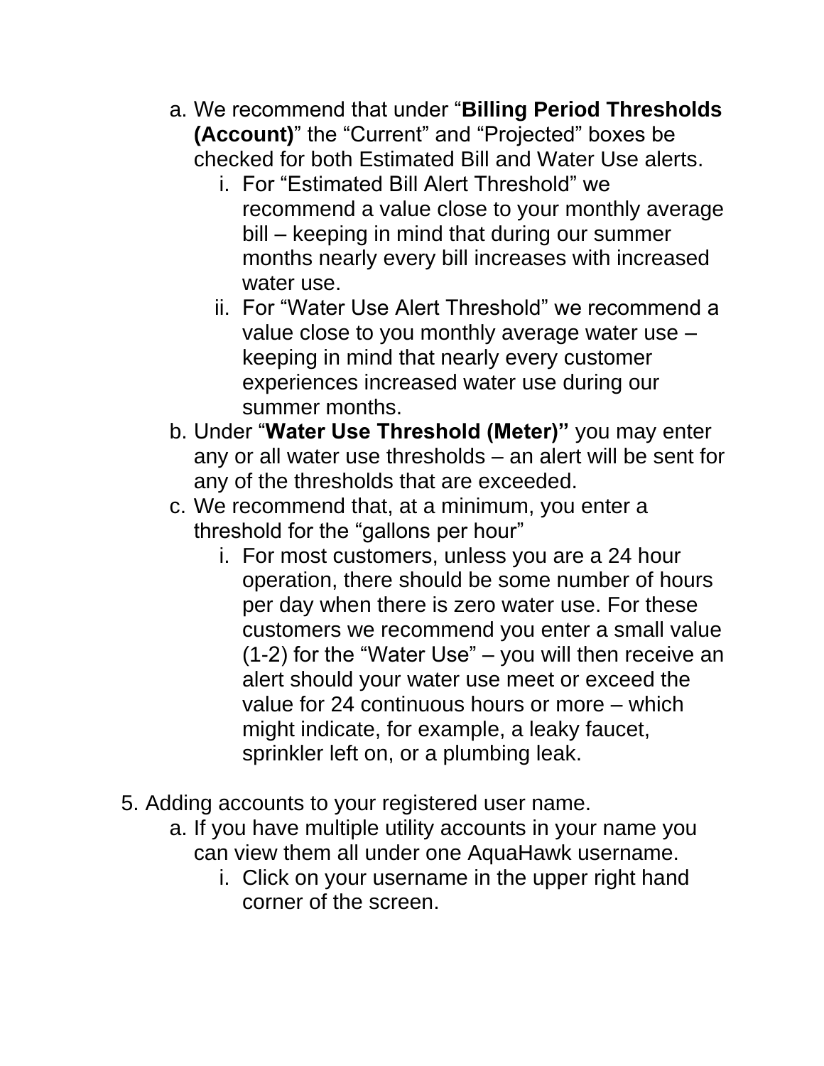- a. We recommend that under "**Billing Period Thresholds (Account)**" the "Current" and "Projected" boxes be checked for both Estimated Bill and Water Use alerts.
	- i. For "Estimated Bill Alert Threshold" we recommend a value close to your monthly average bill – keeping in mind that during our summer months nearly every bill increases with increased water use.
	- ii. For "Water Use Alert Threshold" we recommend a value close to you monthly average water use – keeping in mind that nearly every customer experiences increased water use during our summer months.
- b. Under "**Water Use Threshold (Meter)"** you may enter any or all water use thresholds – an alert will be sent for any of the thresholds that are exceeded.
- c. We recommend that, at a minimum, you enter a threshold for the "gallons per hour"
	- i. For most customers, unless you are a 24 hour operation, there should be some number of hours per day when there is zero water use. For these customers we recommend you enter a small value (1-2) for the "Water Use" – you will then receive an alert should your water use meet or exceed the value for 24 continuous hours or more – which might indicate, for example, a leaky faucet, sprinkler left on, or a plumbing leak.
- 5. Adding accounts to your registered user name.
	- a. If you have multiple utility accounts in your name you can view them all under one AquaHawk username.
		- i. Click on your username in the upper right hand corner of the screen.